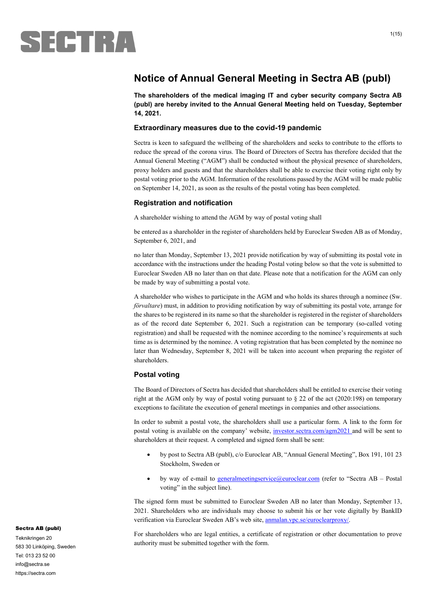

## **Notice of Annual General Meeting in Sectra AB (publ)**

**The shareholders of the medical imaging IT and cyber security company Sectra AB (publ) are hereby invited to the Annual General Meeting held on Tuesday, September 14, 2021.** 

#### **Extraordinary measures due to the covid-19 pandemic**

Sectra is keen to safeguard the wellbeing of the shareholders and seeks to contribute to the efforts to reduce the spread of the corona virus. The Board of Directors of Sectra has therefore decided that the Annual General Meeting ("AGM") shall be conducted without the physical presence of shareholders, proxy holders and guests and that the shareholders shall be able to exercise their voting right only by postal voting prior to the AGM. Information of the resolutions passed by the AGM will be made public on September 14, 2021, as soon as the results of the postal voting has been completed.

#### **Registration and notification**

A shareholder wishing to attend the AGM by way of postal voting shall

be entered as a shareholder in the register of shareholders held by Euroclear Sweden AB as of Monday, September 6, 2021, and

no later than Monday, September 13, 2021 provide notification by way of submitting its postal vote in accordance with the instructions under the heading Postal voting below so that the vote is submitted to Euroclear Sweden AB no later than on that date. Please note that a notification for the AGM can only be made by way of submitting a postal vote.

A shareholder who wishes to participate in the AGM and who holds its shares through a nominee (Sw. *förvaltare*) must, in addition to providing notification by way of submitting its postal vote, arrange for the shares to be registered in its name so that the shareholder is registered in the register of shareholders as of the record date September 6, 2021. Such a registration can be temporary (so-called voting registration) and shall be requested with the nominee according to the nominee's requirements at such time as is determined by the nominee. A voting registration that has been completed by the nominee no later than Wednesday, September 8, 2021 will be taken into account when preparing the register of shareholders.

#### **Postal voting**

The Board of Directors of Sectra has decided that shareholders shall be entitled to exercise their voting right at the AGM only by way of postal voting pursuant to § 22 of the act (2020:198) on temporary exceptions to facilitate the execution of general meetings in companies and other associations.

In order to submit a postal vote, the shareholders shall use a particular form. A link to the form for postal voting is available on the company' website, investor.sectra.com/agm2021 and will be sent to shareholders at their request. A completed and signed form shall be sent:

- by post to Sectra AB (publ), c/o Euroclear AB, "Annual General Meeting", Box 191, 101 23 Stockholm, Sweden or
- by way of e-mail to generalmeetingservice@euroclear.com (refer to "Sectra AB Postal voting" in the subject line).

The signed form must be submitted to Euroclear Sweden AB no later than Monday, September 13, 2021. Shareholders who are individuals may choose to submit his or her vote digitally by BankID verification via Euroclear Sweden AB's web site, anmalan.vpc.se/euroclearproxy/.

For shareholders who are legal entities, a certificate of registration or other documentation to prove authority must be submitted together with the form.

#### Sectra AB (publ)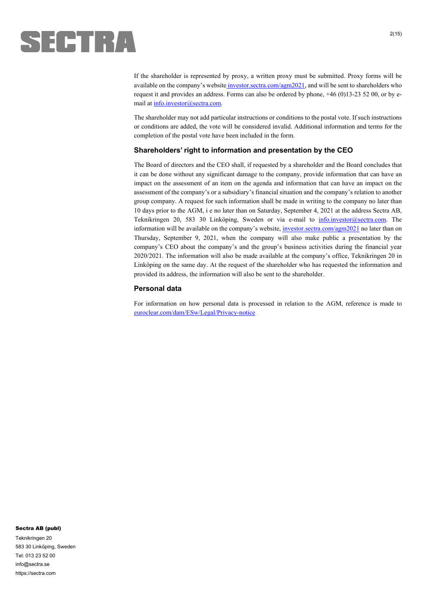

If the shareholder is represented by proxy, a written proxy must be submitted. Proxy forms will be available on the company's website investor.sectra.com/agm2021, and will be sent to shareholders who request it and provides an address. Forms can also be ordered by phone, +46 (0)13-23 52 00, or by email at info.investor@sectra.com.

The shareholder may not add particular instructions or conditions to the postal vote. If such instructions or conditions are added, the vote will be considered invalid. Additional information and terms for the completion of the postal vote have been included in the form.

#### **Shareholders' right to information and presentation by the CEO**

The Board of directors and the CEO shall, if requested by a shareholder and the Board concludes that it can be done without any significant damage to the company, provide information that can have an impact on the assessment of an item on the agenda and information that can have an impact on the assessment of the company's or a subsidiary's financial situation and the company's relation to another group company. A request for such information shall be made in writing to the company no later than 10 days prior to the AGM, i e no later than on Saturday, September 4, 2021 at the address Sectra AB, Teknikringen 20, 583 30 Linköping, Sweden or via e-mail to info.investor@sectra.com. The information will be available on the company's website, investor.sectra.com/agm2021 no later than on Thursday, September 9, 2021, when the company will also make public a presentation by the company's CEO about the company's and the group's business activities during the financial year 2020/2021. The information will also be made available at the company's office, Teknikringen 20 in Linköping on the same day. At the request of the shareholder who has requested the information and provided its address, the information will also be sent to the shareholder.

#### **Personal data**

For information on how personal data is processed in relation to the AGM, reference is made to euroclear.com/dam/ESw/Legal/Privacy-notice

#### Sectra AB (publ)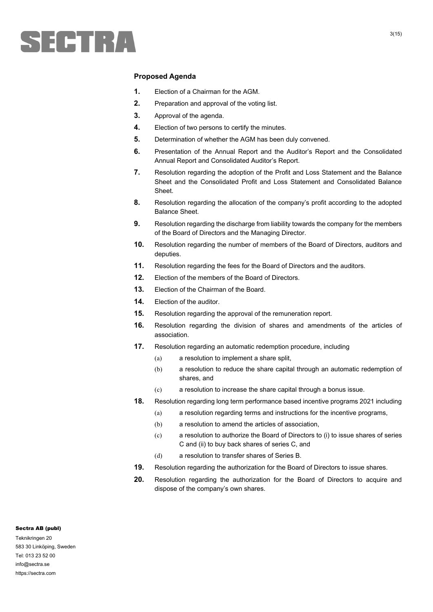

#### **Proposed Agenda**

- **1.** Election of a Chairman for the AGM.
- **2.** Preparation and approval of the voting list.
- **3.** Approval of the agenda.
- **4.** Election of two persons to certify the minutes.
- **5.** Determination of whether the AGM has been duly convened.
- **6.** Presentation of the Annual Report and the Auditor's Report and the Consolidated Annual Report and Consolidated Auditor's Report.
- **7.** Resolution regarding the adoption of the Profit and Loss Statement and the Balance Sheet and the Consolidated Profit and Loss Statement and Consolidated Balance Sheet.
- **8.** Resolution regarding the allocation of the company's profit according to the adopted Balance Sheet.
- **9.** Resolution regarding the discharge from liability towards the company for the members of the Board of Directors and the Managing Director.
- **10.** Resolution regarding the number of members of the Board of Directors, auditors and deputies.
- **11.** Resolution regarding the fees for the Board of Directors and the auditors.
- **12.** Election of the members of the Board of Directors.
- **13.** Election of the Chairman of the Board.
- **14.** Election of the auditor.
- **15.** Resolution regarding the approval of the remuneration report.
- **16.** Resolution regarding the division of shares and amendments of the articles of association.
- **17.** Resolution regarding an automatic redemption procedure, including
	- (a) a resolution to implement a share split,
	- (b) a resolution to reduce the share capital through an automatic redemption of shares, and
	- (c) a resolution to increase the share capital through a bonus issue.
- **18.** Resolution regarding long term performance based incentive programs 2021 including
	- (a) a resolution regarding terms and instructions for the incentive programs,
	- (b) a resolution to amend the articles of association,
	- (c) a resolution to authorize the Board of Directors to (i) to issue shares of series C and (ii) to buy back shares of series C, and
	- (d) a resolution to transfer shares of Series B.
- **19.** Resolution regarding the authorization for the Board of Directors to issue shares.
- **20.** Resolution regarding the authorization for the Board of Directors to acquire and dispose of the company's own shares.

#### Sectra AB (publ)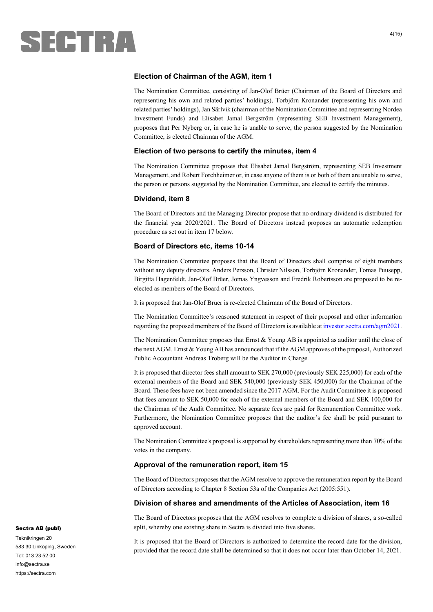

#### **Election of Chairman of the AGM, item 1**

The Nomination Committee, consisting of Jan-Olof Brüer (Chairman of the Board of Directors and representing his own and related parties' holdings), Torbjörn Kronander (representing his own and related parties' holdings), Jan Särlvik (chairman of the Nomination Committee and representing Nordea Investment Funds) and Elisabet Jamal Bergström (representing SEB Investment Management), proposes that Per Nyberg or, in case he is unable to serve, the person suggested by the Nomination Committee, is elected Chairman of the AGM.

#### **Election of two persons to certify the minutes, item 4**

The Nomination Committee proposes that Elisabet Jamal Bergström, representing SEB Investment Management, and Robert Forchheimer or, in case anyone of them is or both of them are unable to serve, the person or persons suggested by the Nomination Committee, are elected to certify the minutes.

#### **Dividend, item 8**

The Board of Directors and the Managing Director propose that no ordinary dividend is distributed for the financial year 2020/2021. The Board of Directors instead proposes an automatic redemption procedure as set out in item 17 below.

#### **Board of Directors etc, items 10-14**

The Nomination Committee proposes that the Board of Directors shall comprise of eight members without any deputy directors. Anders Persson, Christer Nilsson, Torbjörn Kronander, Tomas Puusepp, Birgitta Hagenfeldt, Jan-Olof Brüer, Jomas Yngvesson and Fredrik Robertsson are proposed to be reelected as members of the Board of Directors.

It is proposed that Jan-Olof Brüer is re-elected Chairman of the Board of Directors.

The Nomination Committee's reasoned statement in respect of their proposal and other information regarding the proposed members of the Board of Directors is available at investor.sectra.com/agm2021.

The Nomination Committee proposes that Ernst & Young AB is appointed as auditor until the close of the next AGM. Ernst & Young AB has announced that if the AGM approves of the proposal, Authorized Public Accountant Andreas Troberg will be the Auditor in Charge.

It is proposed that director fees shall amount to SEK 270,000 (previously SEK 225,000) for each of the external members of the Board and SEK 540,000 (previously SEK 450,000) for the Chairman of the Board. These fees have not been amended since the 2017 AGM. For the Audit Committee it is proposed that fees amount to SEK 50,000 for each of the external members of the Board and SEK 100,000 for the Chairman of the Audit Committee. No separate fees are paid for Remuneration Committee work. Furthermore, the Nomination Committee proposes that the auditor's fee shall be paid pursuant to approved account.

The Nomination Committee's proposal is supported by shareholders representing more than 70% of the votes in the company.

#### **Approval of the remuneration report, item 15**

The Board of Directors proposes that the AGM resolve to approve the remuneration report by the Board of Directors according to Chapter 8 Section 53a of the Companies Act (2005:551).

#### **Division of shares and amendments of the Articles of Association, item 16**

The Board of Directors proposes that the AGM resolves to complete a division of shares, a so-called split, whereby one existing share in Sectra is divided into five shares.

It is proposed that the Board of Directors is authorized to determine the record date for the division, provided that the record date shall be determined so that it does not occur later than October 14, 2021.

#### Sectra AB (publ)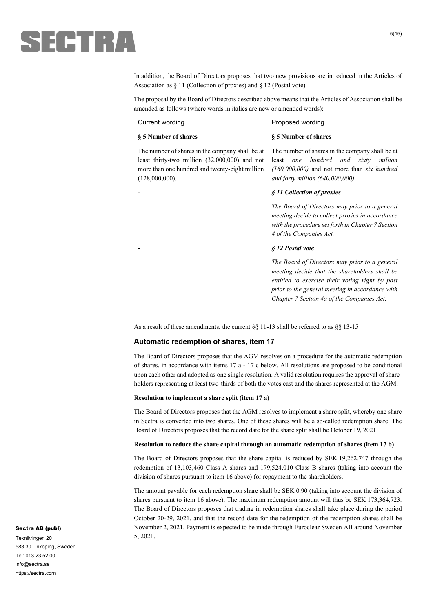

In addition, the Board of Directors proposes that two new provisions are introduced in the Articles of Association as § 11 (Collection of proxies) and § 12 (Postal vote).

The proposal by the Board of Directors described above means that the Articles of Association shall be amended as follows (where words in italics are new or amended words):

#### Current wording **Proposed wording**

#### **§ 5 Number of shares**

**§ 5 Number of shares** 

The number of shares in the company shall be at least thirty-two million (32,000,000) and not more than one hundred and twenty-eight million (128,000,000).

The number of shares in the company shall be at least *one hundred and sixty million (160,000,000)* and not more than *six hundred and forty million (640,000,000)*.

#### - *§ 11 Collection of proxies*

*The Board of Directors may prior to a general meeting decide to collect proxies in accordance with the procedure set forth in Chapter 7 Section 4 of the Companies Act.* 

#### - *§ 12 Postal vote*

*The Board of Directors may prior to a general meeting decide that the shareholders shall be entitled to exercise their voting right by post prior to the general meeting in accordance with Chapter 7 Section 4a of the Companies Act.*

As a result of these amendments, the current §§ 11-13 shall be referred to as §§ 13-15

#### **Automatic redemption of shares, item 17**

The Board of Directors proposes that the AGM resolves on a procedure for the automatic redemption of shares, in accordance with items 17 a - 17 c below. All resolutions are proposed to be conditional upon each other and adopted as one single resolution. A valid resolution requires the approval of shareholders representing at least two-thirds of both the votes cast and the shares represented at the AGM.

#### **Resolution to implement a share split (item 17 a)**

The Board of Directors proposes that the AGM resolves to implement a share split, whereby one share in Sectra is converted into two shares. One of these shares will be a so-called redemption share. The Board of Directors proposes that the record date for the share split shall be October 19, 2021.

#### **Resolution to reduce the share capital through an automatic redemption of shares (item 17 b)**

The Board of Directors proposes that the share capital is reduced by SEK 19,262,747 through the redemption of 13,103,460 Class A shares and 179,524,010 Class B shares (taking into account the division of shares pursuant to item 16 above) for repayment to the shareholders.

The amount payable for each redemption share shall be SEK 0.90 (taking into account the division of shares pursuant to item 16 above). The maximum redemption amount will thus be SEK 173,364,723. The Board of Directors proposes that trading in redemption shares shall take place during the period October 20-29, 2021, and that the record date for the redemption of the redemption shares shall be November 2, 2021. Payment is expected to be made through Euroclear Sweden AB around November 5, 2021.

#### Sectra AB (publ)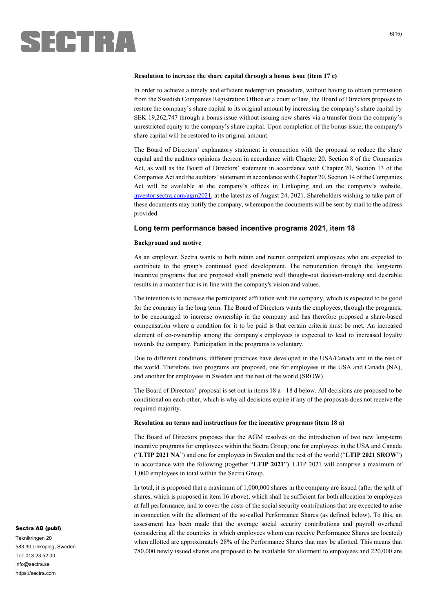

#### **Resolution to increase the share capital through a bonus issue (item 17 c)**

In order to achieve a timely and efficient redemption procedure, without having to obtain permission from the Swedish Companies Registration Office or a court of law, the Board of Directors proposes to restore the company's share capital to its original amount by increasing the company's share capital by SEK 19,262,747 through a bonus issue without issuing new shares via a transfer from the company's unrestricted equity to the company's share capital. Upon completion of the bonus issue, the company's share capital will be restored to its original amount.

The Board of Directors' explanatory statement in connection with the proposal to reduce the share capital and the auditors opinions thereon in accordance with Chapter 20, Section 8 of the Companies Act, as well as the Board of Directors' statement in accordance with Chapter 20, Section 13 of the Companies Act and the auditors' statement in accordance with Chapter 20, Section 14 of the Companies Act will be available at the company's offices in Linköping and on the company's website, investor.sectra.com/agm2021, at the latest as of August 24, 2021. Shareholders wishing to take part of these documents may notify the company, whereupon the documents will be sent by mail to the address provided.

#### **Long term performance based incentive programs 2021, item 18**

#### **Background and motive**

As an employer, Sectra wants to both retain and recruit competent employees who are expected to contribute to the group's continued good development. The remuneration through the long-term incentive programs that are proposed shall promote well thought-out decision-making and desirable results in a manner that is in line with the company's vision and values.

The intention is to increase the participants' affiliation with the company, which is expected to be good for the company in the long term. The Board of Directors wants the employees, through the programs, to be encouraged to increase ownership in the company and has therefore proposed a share-based compensation where a condition for it to be paid is that certain criteria must be met. An increased element of co-ownership among the company's employees is expected to lead to increased loyalty towards the company. Participation in the programs is voluntary.

Due to different conditions, different practices have developed in the USA/Canada and in the rest of the world. Therefore, two programs are proposed, one for employees in the USA and Canada (NA), and another for employees in Sweden and the rest of the world (SROW).

The Board of Directors' proposal is set out in items 18 a - 18 d below. All decisions are proposed to be conditional on each other, which is why all decisions expire if any of the proposals does not receive the required majority.

#### **Resolution on terms and instructions for the incentive programs (item 18 a)**

The Board of Directors proposes that the AGM resolves on the introduction of two new long-term incentive programs for employees within the Sectra Group; one for employees in the USA and Canada ("**LTIP 2021 NA**") and one for employees in Sweden and the rest of the world ("**LTIP 2021 SROW**") in accordance with the following (together "**LTIP 2021**"). LTIP 2021 will comprise a maximum of 1,000 employees in total within the Sectra Group.

In total, it is proposed that a maximum of 1,000,000 shares in the company are issued (after the split of shares, which is proposed in item 16 above), which shall be sufficient for both allocation to employees at full performance, and to cover the costs of the social security contributions that are expected to arise in connection with the allotment of the so-called Performance Shares (as defined below). To this, an assessment has been made that the average social security contributions and payroll overhead (considering all the countries in which employees whom can receive Performance Shares are located) when allotted are approximately 28% of the Performance Shares that may be allotted. This means that 780,000 newly issued shares are proposed to be available for allotment to employees and 220,000 are

#### Sectra AB (publ)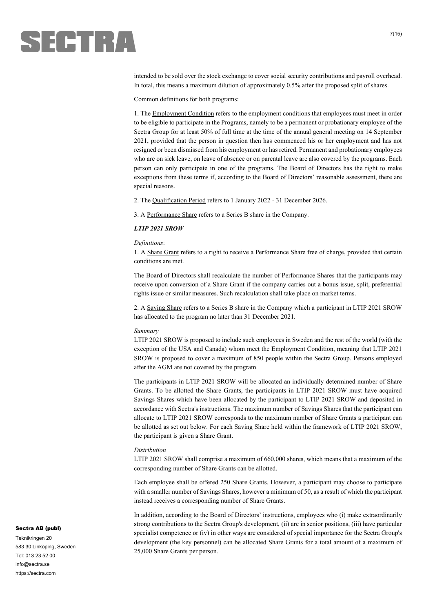

intended to be sold over the stock exchange to cover social security contributions and payroll overhead. In total, this means a maximum dilution of approximately 0.5% after the proposed split of shares.

Common definitions for both programs:

1. The Employment Condition refers to the employment conditions that employees must meet in order to be eligible to participate in the Programs, namely to be a permanent or probationary employee of the Sectra Group for at least 50% of full time at the time of the annual general meeting on 14 September 2021, provided that the person in question then has commenced his or her employment and has not resigned or been dismissed from his employment or has retired. Permanent and probationary employees who are on sick leave, on leave of absence or on parental leave are also covered by the programs. Each person can only participate in one of the programs. The Board of Directors has the right to make exceptions from these terms if, according to the Board of Directors' reasonable assessment, there are special reasons.

2. The Qualification Period refers to 1 January 2022 - 31 December 2026.

3. A Performance Share refers to a Series B share in the Company.

#### *LTIP 2021 SROW*

#### *Definitions*:

1. A Share Grant refers to a right to receive a Performance Share free of charge, provided that certain conditions are met.

The Board of Directors shall recalculate the number of Performance Shares that the participants may receive upon conversion of a Share Grant if the company carries out a bonus issue, split, preferential rights issue or similar measures. Such recalculation shall take place on market terms.

2. A Saving Share refers to a Series B share in the Company which a participant in LTIP 2021 SROW has allocated to the program no later than 31 December 2021.

#### *Summary*

LTIP 2021 SROW is proposed to include such employees in Sweden and the rest of the world (with the exception of the USA and Canada) whom meet the Employment Condition, meaning that LTIP 2021 SROW is proposed to cover a maximum of 850 people within the Sectra Group. Persons employed after the AGM are not covered by the program.

The participants in LTIP 2021 SROW will be allocated an individually determined number of Share Grants. To be allotted the Share Grants, the participants in LTIP 2021 SROW must have acquired Savings Shares which have been allocated by the participant to LTIP 2021 SROW and deposited in accordance with Sectra's instructions. The maximum number of Savings Shares that the participant can allocate to LTIP 2021 SROW corresponds to the maximum number of Share Grants a participant can be allotted as set out below. For each Saving Share held within the framework of LTIP 2021 SROW, the participant is given a Share Grant.

#### *Distribution*

LTIP 2021 SROW shall comprise a maximum of 660,000 shares, which means that a maximum of the corresponding number of Share Grants can be allotted.

Each employee shall be offered 250 Share Grants. However, a participant may choose to participate with a smaller number of Savings Shares, however a minimum of 50, as a result of which the participant instead receives a corresponding number of Share Grants.

In addition, according to the Board of Directors' instructions, employees who (i) make extraordinarily strong contributions to the Sectra Group's development, (ii) are in senior positions, (iii) have particular specialist competence or (iv) in other ways are considered of special importance for the Sectra Group's development (the key personnel) can be allocated Share Grants for a total amount of a maximum of 25,000 Share Grants per person.

#### Sectra AB (publ)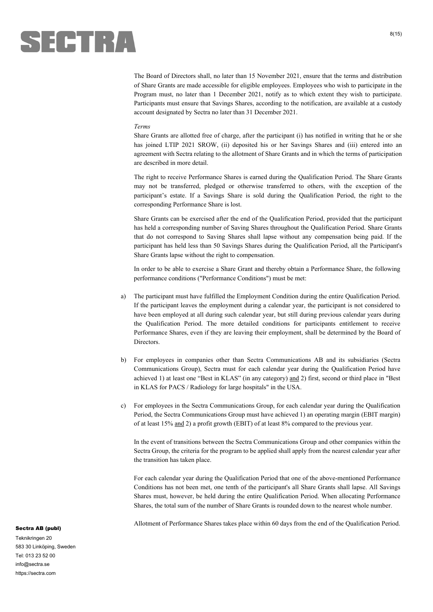

The Board of Directors shall, no later than 15 November 2021, ensure that the terms and distribution of Share Grants are made accessible for eligible employees. Employees who wish to participate in the Program must, no later than 1 December 2021, notify as to which extent they wish to participate. Participants must ensure that Savings Shares, according to the notification, are available at a custody account designated by Sectra no later than 31 December 2021.

#### *Terms*

Share Grants are allotted free of charge, after the participant (i) has notified in writing that he or she has joined LTIP 2021 SROW, (ii) deposited his or her Savings Shares and (iii) entered into an agreement with Sectra relating to the allotment of Share Grants and in which the terms of participation are described in more detail.

The right to receive Performance Shares is earned during the Qualification Period. The Share Grants may not be transferred, pledged or otherwise transferred to others, with the exception of the participant's estate. If a Savings Share is sold during the Qualification Period, the right to the corresponding Performance Share is lost.

Share Grants can be exercised after the end of the Qualification Period, provided that the participant has held a corresponding number of Saving Shares throughout the Qualification Period. Share Grants that do not correspond to Saving Shares shall lapse without any compensation being paid. If the participant has held less than 50 Savings Shares during the Qualification Period, all the Participant's Share Grants lapse without the right to compensation.

In order to be able to exercise a Share Grant and thereby obtain a Performance Share, the following performance conditions ("Performance Conditions") must be met:

- a) The participant must have fulfilled the Employment Condition during the entire Qualification Period. If the participant leaves the employment during a calendar year, the participant is not considered to have been employed at all during such calendar year, but still during previous calendar years during the Qualification Period. The more detailed conditions for participants entitlement to receive Performance Shares, even if they are leaving their employment, shall be determined by the Board of Directors.
- b) For employees in companies other than Sectra Communications AB and its subsidiaries (Sectra Communications Group), Sectra must for each calendar year during the Qualification Period have achieved 1) at least one "Best in KLAS" (in any category) and 2) first, second or third place in "Best in KLAS for PACS / Radiology for large hospitals" in the USA.
- c) For employees in the Sectra Communications Group, for each calendar year during the Qualification Period, the Sectra Communications Group must have achieved 1) an operating margin (EBIT margin) of at least 15% and 2) a profit growth (EBIT) of at least 8% compared to the previous year.

In the event of transitions between the Sectra Communications Group and other companies within the Sectra Group, the criteria for the program to be applied shall apply from the nearest calendar year after the transition has taken place.

For each calendar year during the Qualification Period that one of the above-mentioned Performance Conditions has not been met, one tenth of the participant's all Share Grants shall lapse. All Savings Shares must, however, be held during the entire Qualification Period. When allocating Performance Shares, the total sum of the number of Share Grants is rounded down to the nearest whole number.

Allotment of Performance Shares takes place within 60 days from the end of the Qualification Period.

#### Sectra AB (publ)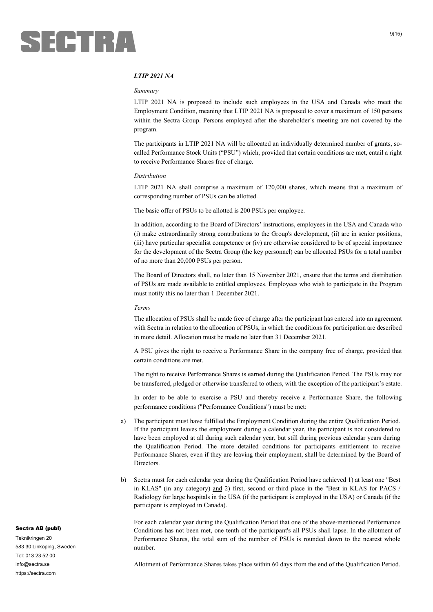

#### $9(15)$

#### *LTIP 2021 NA*

#### *Summary*

LTIP 2021 NA is proposed to include such employees in the USA and Canada who meet the Employment Condition, meaning that LTIP 2021 NA is proposed to cover a maximum of 150 persons within the Sectra Group. Persons employed after the shareholder´s meeting are not covered by the program.

The participants in LTIP 2021 NA will be allocated an individually determined number of grants, socalled Performance Stock Units ("PSU") which, provided that certain conditions are met, entail a right to receive Performance Shares free of charge.

#### *Distribution*

LTIP 2021 NA shall comprise a maximum of 120,000 shares, which means that a maximum of corresponding number of PSUs can be allotted.

The basic offer of PSUs to be allotted is 200 PSUs per employee.

In addition, according to the Board of Directors' instructions, employees in the USA and Canada who (i) make extraordinarily strong contributions to the Group's development, (ii) are in senior positions, (iii) have particular specialist competence or (iv) are otherwise considered to be of special importance for the development of the Sectra Group (the key personnel) can be allocated PSUs for a total number of no more than 20,000 PSUs per person.

The Board of Directors shall, no later than 15 November 2021, ensure that the terms and distribution of PSUs are made available to entitled employees. Employees who wish to participate in the Program must notify this no later than 1 December 2021.

#### *Terms*

The allocation of PSUs shall be made free of charge after the participant has entered into an agreement with Sectra in relation to the allocation of PSUs, in which the conditions for participation are described in more detail. Allocation must be made no later than 31 December 2021.

A PSU gives the right to receive a Performance Share in the company free of charge, provided that certain conditions are met.

The right to receive Performance Shares is earned during the Qualification Period. The PSUs may not be transferred, pledged or otherwise transferred to others, with the exception of the participant's estate.

In order to be able to exercise a PSU and thereby receive a Performance Share, the following performance conditions ("Performance Conditions") must be met:

- a) The participant must have fulfilled the Employment Condition during the entire Qualification Period. If the participant leaves the employment during a calendar year, the participant is not considered to have been employed at all during such calendar year, but still during previous calendar years during the Qualification Period. The more detailed conditions for participants entitlement to receive Performance Shares, even if they are leaving their employment, shall be determined by the Board of Directors.
- b) Sectra must for each calendar year during the Qualification Period have achieved 1) at least one "Best in KLAS" (in any category) and 2) first, second or third place in the "Best in KLAS for PACS / Radiology for large hospitals in the USA (if the participant is employed in the USA) or Canada (if the participant is employed in Canada).

For each calendar year during the Qualification Period that one of the above-mentioned Performance Conditions has not been met, one tenth of the participant's all PSUs shall lapse. In the allotment of Performance Shares, the total sum of the number of PSUs is rounded down to the nearest whole number.

Allotment of Performance Shares takes place within 60 days from the end of the Qualification Period.

#### Sectra AB (publ)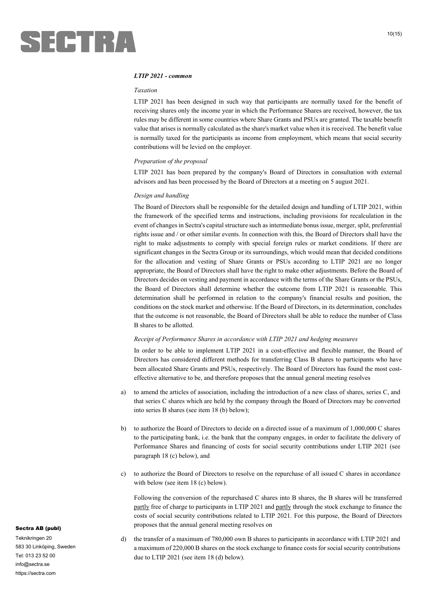#### *LTIP 2021 - common*

#### *Taxation*

LTIP 2021 has been designed in such way that participants are normally taxed for the benefit of receiving shares only the income year in which the Performance Shares are received, however, the tax rules may be different in some countries where Share Grants and PSUs are granted. The taxable benefit value that arises is normally calculated as the share's market value when it is received. The benefit value is normally taxed for the participants as income from employment, which means that social security contributions will be levied on the employer.

#### *Preparation of the proposal*

LTIP 2021 has been prepared by the company's Board of Directors in consultation with external advisors and has been processed by the Board of Directors at a meeting on 5 august 2021.

#### *Design and handling*

The Board of Directors shall be responsible for the detailed design and handling of LTIP 2021, within the framework of the specified terms and instructions, including provisions for recalculation in the event of changes in Sectra's capital structure such as intermediate bonus issue, merger, split, preferential rights issue and / or other similar events. In connection with this, the Board of Directors shall have the right to make adjustments to comply with special foreign rules or market conditions. If there are significant changes in the Sectra Group or its surroundings, which would mean that decided conditions for the allocation and vesting of Share Grants or PSUs according to LTIP 2021 are no longer appropriate, the Board of Directors shall have the right to make other adjustments. Before the Board of Directors decides on vesting and payment in accordance with the terms of the Share Grants or the PSUs, the Board of Directors shall determine whether the outcome from LTIP 2021 is reasonable. This determination shall be performed in relation to the company's financial results and position, the conditions on the stock market and otherwise. If the Board of Directors, in its determination, concludes that the outcome is not reasonable, the Board of Directors shall be able to reduce the number of Class B shares to be allotted.

#### *Receipt of Performance Shares in accordance with LTIP 2021 and hedging measures*

In order to be able to implement LTIP 2021 in a cost-effective and flexible manner, the Board of Directors has considered different methods for transferring Class B shares to participants who have been allocated Share Grants and PSUs, respectively. The Board of Directors has found the most costeffective alternative to be, and therefore proposes that the annual general meeting resolves

- a) to amend the articles of association, including the introduction of a new class of shares, series C, and that series C shares which are held by the company through the Board of Directors may be converted into series B shares (see item 18 (b) below);
- b) to authorize the Board of Directors to decide on a directed issue of a maximum of 1,000,000 C shares to the participating bank, i.e. the bank that the company engages, in order to facilitate the delivery of Performance Shares and financing of costs for social security contributions under LTIP 2021 (see paragraph 18 (c) below), and
- c) to authorize the Board of Directors to resolve on the repurchase of all issued C shares in accordance with below (see item 18 (c) below).

Following the conversion of the repurchased C shares into B shares, the B shares will be transferred partly free of charge to participants in LTIP 2021 and partly through the stock exchange to finance the costs of social security contributions related to LTIP 2021. For this purpose, the Board of Directors proposes that the annual general meeting resolves on

d) the transfer of a maximum of 780,000 own B shares to participants in accordance with LTIP 2021 and a maximum of 220,000 B shares on the stock exchange to finance costs for social security contributions due to LTIP 2021 (see item 18 (d) below).

#### Sectra AB (publ)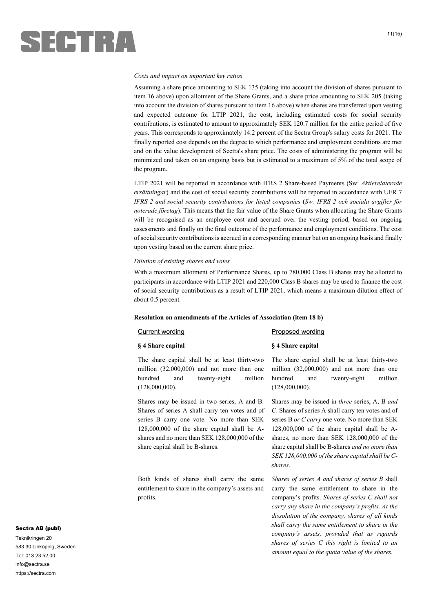# SECTRA

#### *Costs and impact on important key ratios*

Assuming a share price amounting to SEK 135 (taking into account the division of shares pursuant to item 16 above) upon allotment of the Share Grants, and a share price amounting to SEK 205 (taking into account the division of shares pursuant to item 16 above) when shares are transferred upon vesting and expected outcome for LTIP 2021, the cost, including estimated costs for social security contributions, is estimated to amount to approximately SEK 120.7 million for the entire period of five years. This corresponds to approximately 14.2 percent of the Sectra Group's salary costs for 2021. The finally reported cost depends on the degree to which performance and employment conditions are met and on the value development of Sectra's share price. The costs of administering the program will be minimized and taken on an ongoing basis but is estimated to a maximum of 5% of the total scope of the program.

LTIP 2021 will be reported in accordance with IFRS 2 Share-based Payments (Sw: *Aktierelaterade ersättningar*) and the cost of social security contributions will be reported in accordance with UFR 7 *IFRS 2 and social security contributions for listed companies* (*Sw: IFRS 2 och sociala avgifter för noterade företag*). This means that the fair value of the Share Grants when allocating the Share Grants will be recognised as an employee cost and accrued over the vesting period, based on ongoing assessments and finally on the final outcome of the performance and employment conditions. The cost of social security contributions is accrued in a corresponding manner but on an ongoing basis and finally upon vesting based on the current share price.

#### *Dilution of existing shares and votes*

With a maximum allotment of Performance Shares, up to 780,000 Class B shares may be allotted to participants in accordance with LTIP 2021 and 220,000 Class B shares may be used to finance the cost of social security contributions as a result of LTIP 2021, which means a maximum dilution effect of about 0.5 percent.

#### **Resolution on amendments of the Articles of Association (item 18 b)**

| Current wording   | Proposed wording  |
|-------------------|-------------------|
| § 4 Share capital | § 4 Share capital |

The share capital shall be at least thirty-two million (32,000,000) and not more than one hundred and twenty-eight million (128,000,000).

Shares may be issued in two series, A and B. Shares of series A shall carry ten votes and of series B carry one vote. No more than SEK 128,000,000 of the share capital shall be Ashares and no more than SEK 128,000,000 of the share capital shall be B-shares.

Both kinds of shares shall carry the same entitlement to share in the company's assets and profits.

The share capital shall be at least thirty-two million (32,000,000) and not more than one hundred and twenty-eight million (128,000,000).

Shares may be issued in *three* series, A, B *and C*. Shares of series A shall carry ten votes and of series B *or C carry* one vote. No more than SEK 128,000,000 of the share capital shall be Ashares, no more than SEK 128,000,000 of the share capital shall be B-shares *and no more than SEK 128,000,000 of the share capital shall be Cshares*.

*Shares of series A and shares of series B* shall carry the same entitlement to share in the company's profits. *Shares of series C shall not carry any share in the company's profits. At the dissolution of the company, shares of all kinds shall carry the same entitlement to share in the company's assets, provided that as regards shares of series C this right is limited to an amount equal to the quota value of the shares.*

#### Sectra AB (publ)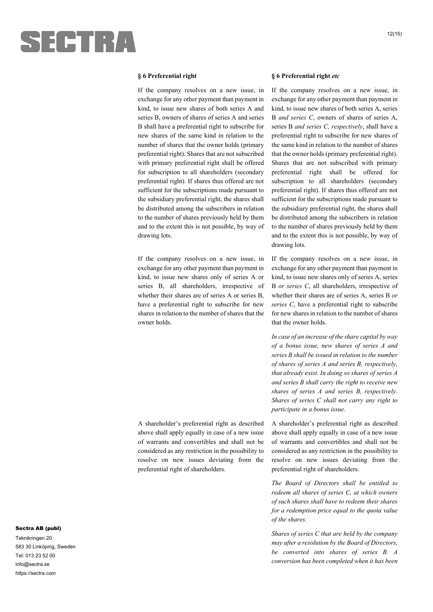

#### **§ 6 Preferential right**

If the company resolves on a new issue, in exchange for any other payment than payment in kind, to issue new shares of both series A and series B, owners of shares of series A and series B shall have a preferential right to subscribe for new shares of the same kind in relation to the number of shares that the owner holds (primary preferential right). Shares that are not subscribed with primary preferential right shall be offered for subscription to all shareholders (secondary preferential right). If shares thus offered are not sufficient for the subscriptions made pursuant to the subsidiary preferential right, the shares shall be distributed among the subscribers in relation to the number of shares previously held by them and to the extent this is not possible, by way of drawing lots.

If the company resolves on a new issue, in exchange for any other payment than payment in kind, to issue new shares only of series A or series B, all shareholders, irrespective of whether their shares are of series A or series B, have a preferential right to subscribe for new shares in relation to the number of shares that the owner holds.

A shareholder's preferential right as described above shall apply equally in case of a new issue of warrants and convertibles and shall not be considered as any restriction in the possibility to resolve on new issues deviating from the preferential right of shareholders.

#### **§ 6 Preferential right** *etc*

If the company resolves on a new issue, in exchange for any other payment than payment in kind, to issue new shares of both series A, series B *and series C*, owners of shares of series A, series B *and series C, respectively*, shall have a preferential right to subscribe for new shares of the same kind in relation to the number of shares that the owner holds (primary preferential right). Shares that are not subscribed with primary preferential right shall be offered for subscription to all shareholders (secondary preferential right). If shares thus offered are not sufficient for the subscriptions made pursuant to the subsidiary preferential right, the shares shall be distributed among the subscribers in relation to the number of shares previously held by them and to the extent this is not possible, by way of drawing lots.

If the company resolves on a new issue, in exchange for any other payment than payment in kind, to issue new shares only of series A, series B *or series C*, all shareholders, irrespective of whether their shares are of series A, series B *or series C*, have a preferential right to subscribe for new shares in relation to the number of shares that the owner holds.

*In case of an increase of the share capital by way of a bonus issue, new shares of series A and series B shall be issued in relation to the number of shares of series A and series B, respectively, that already exist. In doing so shares of series A and series B shall carry the right to receive new shares of series A and series B, respectively. Shares of series C shall not carry any right to participate in a bonus issue.*

A shareholder's preferential right as described above shall apply equally in case of a new issue of warrants and convertibles and shall not be considered as any restriction in the possibility to resolve on new issues deviating from the preferential right of shareholders.

*The Board of Directors shall be entitled to redeem all shares of series C, at which owners of such shares shall have to redeem their shares for a redemption price equal to the quota value of the shares.* 

*Shares of series C that are held by the company may after a resolution by the Board of Directors, be converted into shares of series B. A conversion has been completed when it has been* 

#### Sectra AB (publ)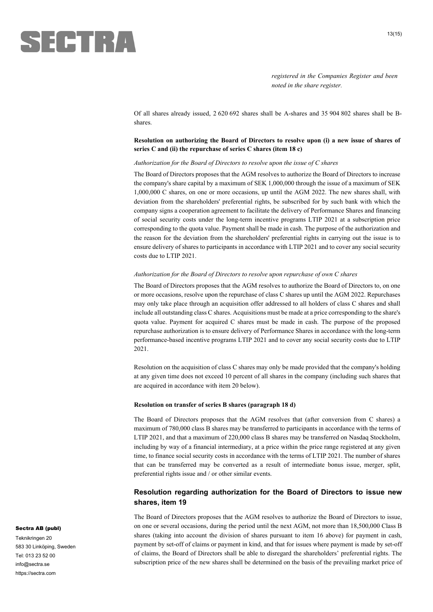![](_page_12_Picture_0.jpeg)

*registered in the Companies Register and been noted in the share register.*

Of all shares already issued, 2 620 692 shares shall be A-shares and 35 904 802 shares shall be Bshares.

#### **Resolution on authorizing the Board of Directors to resolve upon (i) a new issue of shares of series C and (ii) the repurchase of series C shares (item 18 c)**

#### *Authorization for the Board of Directors to resolve upon the issue of C shares*

The Board of Directors proposes that the AGM resolves to authorize the Board of Directors to increase the company's share capital by a maximum of SEK 1,000,000 through the issue of a maximum of SEK 1,000,000 C shares, on one or more occasions, up until the AGM 2022. The new shares shall, with deviation from the shareholders' preferential rights, be subscribed for by such bank with which the company signs a cooperation agreement to facilitate the delivery of Performance Shares and financing of social security costs under the long-term incentive programs LTIP 2021 at a subscription price corresponding to the quota value. Payment shall be made in cash. The purpose of the authorization and the reason for the deviation from the shareholders' preferential rights in carrying out the issue is to ensure delivery of shares to participants in accordance with LTIP 2021 and to cover any social security costs due to LTIP 2021.

#### *Authorization for the Board of Directors to resolve upon repurchase of own C shares*

The Board of Directors proposes that the AGM resolves to authorize the Board of Directors to, on one or more occasions, resolve upon the repurchase of class C shares up until the AGM 2022. Repurchases may only take place through an acquisition offer addressed to all holders of class C shares and shall include all outstanding class C shares. Acquisitions must be made at a price corresponding to the share's quota value. Payment for acquired C shares must be made in cash. The purpose of the proposed repurchase authorization is to ensure delivery of Performance Shares in accordance with the long-term performance-based incentive programs LTIP 2021 and to cover any social security costs due to LTIP 2021.

Resolution on the acquisition of class C shares may only be made provided that the company's holding at any given time does not exceed 10 percent of all shares in the company (including such shares that are acquired in accordance with item 20 below).

#### **Resolution on transfer of series B shares (paragraph 18 d)**

The Board of Directors proposes that the AGM resolves that (after conversion from C shares) a maximum of 780,000 class B shares may be transferred to participants in accordance with the terms of LTIP 2021, and that a maximum of 220,000 class B shares may be transferred on Nasdaq Stockholm, including by way of a financial intermediary, at a price within the price range registered at any given time, to finance social security costs in accordance with the terms of LTIP 2021. The number of shares that can be transferred may be converted as a result of intermediate bonus issue, merger, split, preferential rights issue and / or other similar events.

#### **Resolution regarding authorization for the Board of Directors to issue new shares, item 19**

The Board of Directors proposes that the AGM resolves to authorize the Board of Directors to issue, on one or several occasions, during the period until the next AGM, not more than 18,500,000 Class B shares (taking into account the division of shares pursuant to item 16 above) for payment in cash, payment by set-off of claims or payment in kind, and that for issues where payment is made by set-off of claims, the Board of Directors shall be able to disregard the shareholders' preferential rights. The subscription price of the new shares shall be determined on the basis of the prevailing market price of

#### Sectra AB (publ)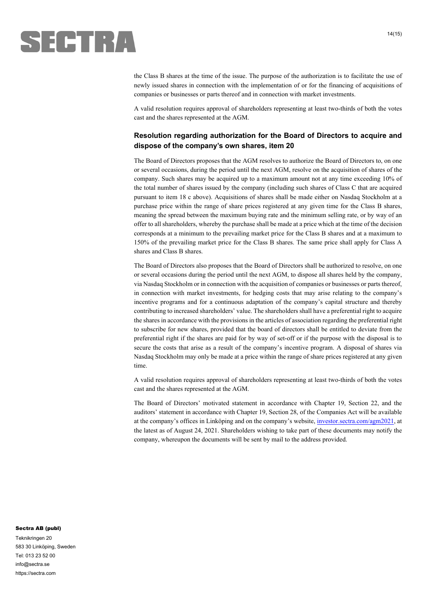![](_page_13_Picture_0.jpeg)

the Class B shares at the time of the issue. The purpose of the authorization is to facilitate the use of newly issued shares in connection with the implementation of or for the financing of acquisitions of companies or businesses or parts thereof and in connection with market investments.

A valid resolution requires approval of shareholders representing at least two-thirds of both the votes cast and the shares represented at the AGM.

### **Resolution regarding authorization for the Board of Directors to acquire and dispose of the company's own shares, item 20**

The Board of Directors proposes that the AGM resolves to authorize the Board of Directors to, on one or several occasions, during the period until the next AGM, resolve on the acquisition of shares of the company. Such shares may be acquired up to a maximum amount not at any time exceeding 10% of the total number of shares issued by the company (including such shares of Class C that are acquired pursuant to item 18 c above). Acquisitions of shares shall be made either on Nasdaq Stockholm at a purchase price within the range of share prices registered at any given time for the Class B shares, meaning the spread between the maximum buying rate and the minimum selling rate, or by way of an offer to all shareholders, whereby the purchase shall be made at a price which at the time of the decision corresponds at a minimum to the prevailing market price for the Class B shares and at a maximum to 150% of the prevailing market price for the Class B shares. The same price shall apply for Class A shares and Class B shares.

The Board of Directors also proposes that the Board of Directors shall be authorized to resolve, on one or several occasions during the period until the next AGM, to dispose all shares held by the company, via Nasdaq Stockholm or in connection with the acquisition of companies or businesses or parts thereof, in connection with market investments, for hedging costs that may arise relating to the company's incentive programs and for a continuous adaptation of the company's capital structure and thereby contributing to increased shareholders' value. The shareholders shall have a preferential right to acquire the shares in accordance with the provisions in the articles of association regarding the preferential right to subscribe for new shares, provided that the board of directors shall be entitled to deviate from the preferential right if the shares are paid for by way of set-off or if the purpose with the disposal is to secure the costs that arise as a result of the company's incentive program. A disposal of shares via Nasdaq Stockholm may only be made at a price within the range of share prices registered at any given time.

A valid resolution requires approval of shareholders representing at least two-thirds of both the votes cast and the shares represented at the AGM.

The Board of Directors' motivated statement in accordance with Chapter 19, Section 22, and the auditors' statement in accordance with Chapter 19, Section 28, of the Companies Act will be available at the company's offices in Linköping and on the company's website, investor.sectra.com/agm2021, at the latest as of August 24, 2021. Shareholders wishing to take part of these documents may notify the company, whereupon the documents will be sent by mail to the address provided.

#### Sectra AB (publ)